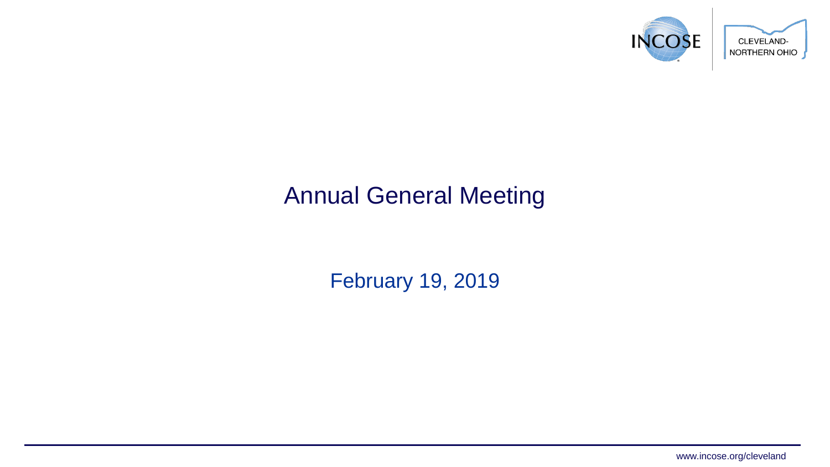

#### Annual General Meeting

February 19, 2019

www.incose.org/cleveland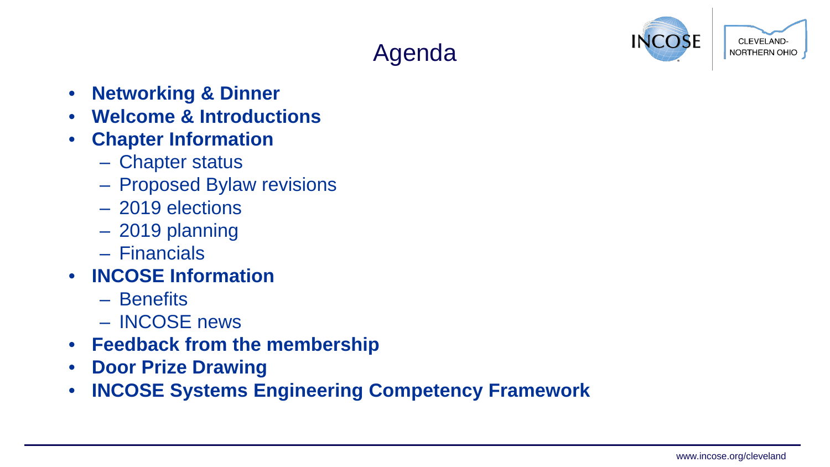## Agenda



- **Networking & Dinner**
- **Welcome & Introductions**
- **Chapter Information**
	- Chapter status
	- Proposed Bylaw revisions
	- 2019 elections
	- 2019 planning
	- Financials
- **INCOSE Information**
	- Benefits
	- INCOSE news
- **Feedback from the membership**
- **Door Prize Drawing**
- **INCOSE Systems Engineering Competency Framework**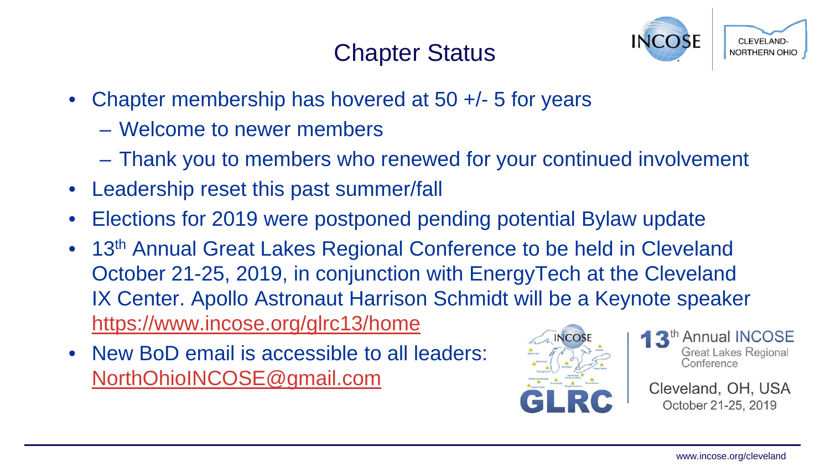#### Chapter Status



- Chapter membership has hovered at 50 +/- 5 for years
	- Welcome to newer members
	- Thank you to members who renewed for your continued involvement
- Leadership reset this past summer/fall
- Elections for 2019 were postponed pending potential Bylaw update
- 13<sup>th</sup> Annual Great Lakes Regional Conference to be held in Cleveland October 21-25, 2019, in conjunction with EnergyTech at the Cleveland IX Center. Apollo Astronaut Harrison Schmidt will be a Keynote speaker <https://www.incose.org/glrc13/home>
- New BoD email is accessible to all leaders: [NorthOhioINCOSE@gmail.com](mailto:NorthOhioINCOSE@gmail.com)





Cleveland, OH, USA October 21-25, 2019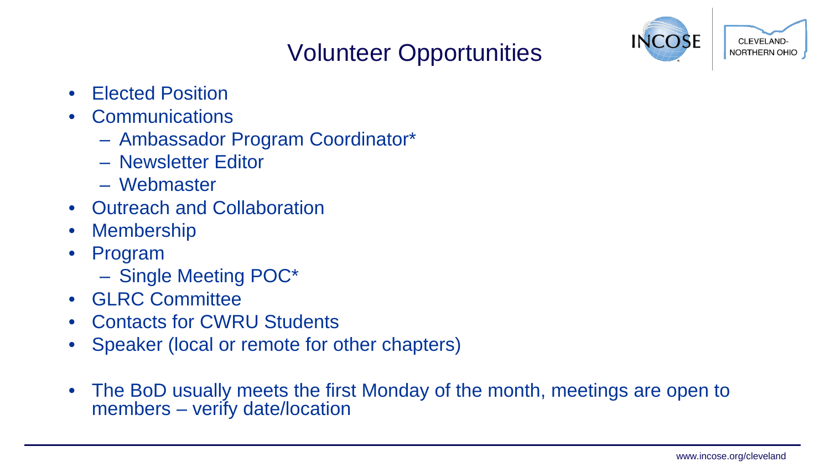# Volunteer Opportunities



- Elected Position
- Communications
	- Ambassador Program Coordinator\*
	- Newsletter Editor
	- Webmaster
- Outreach and Collaboration
- **Membership**
- Program
	- Single Meeting POC\*
- GLRC Committee
- Contacts for CWRU Students
- Speaker (local or remote for other chapters)
- The BoD usually meets the first Monday of the month, meetings are open to members – verify date/location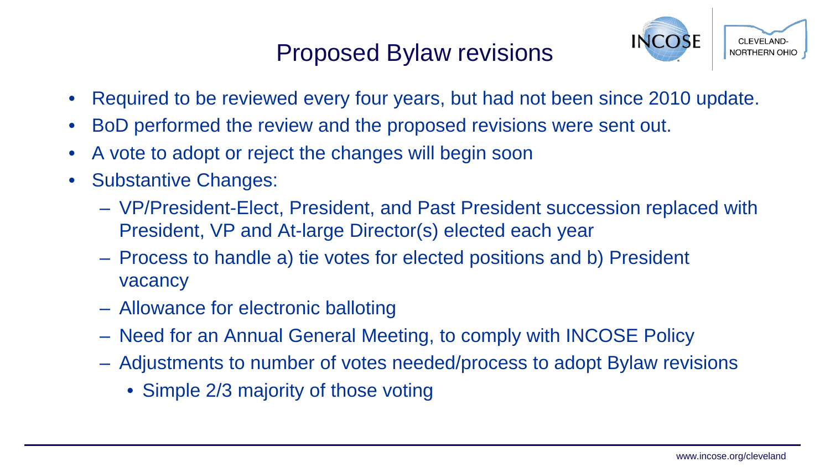#### Proposed Bylaw revisions



- Required to be reviewed every four years, but had not been since 2010 update.
- BoD performed the review and the proposed revisions were sent out.
- A vote to adopt or reject the changes will begin soon
- Substantive Changes:
	- VP/President-Elect, President, and Past President succession replaced with President, VP and At-large Director(s) elected each year
	- Process to handle a) tie votes for elected positions and b) President vacancy
	- Allowance for electronic balloting
	- Need for an Annual General Meeting, to comply with INCOSE Policy
	- Adjustments to number of votes needed/process to adopt Bylaw revisions
		- Simple 2/3 majority of those voting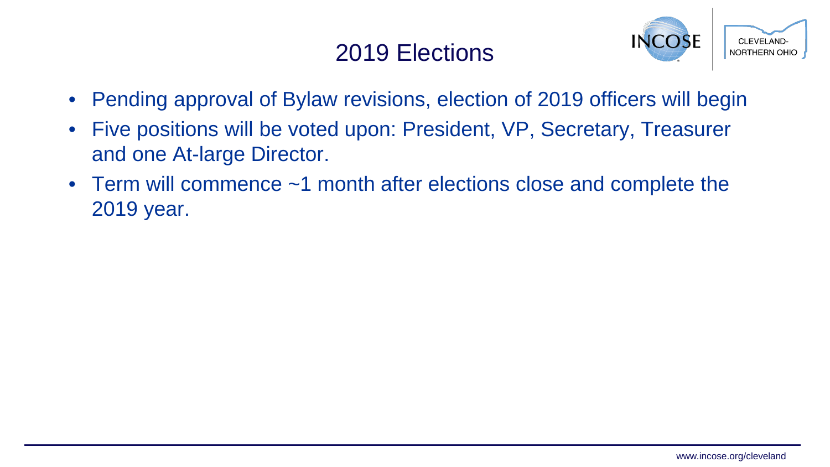#### 2019 Elections



- Pending approval of Bylaw revisions, election of 2019 officers will begin
- Five positions will be voted upon: President, VP, Secretary, Treasurer and one At-large Director.
- Term will commence ~1 month after elections close and complete the 2019 year.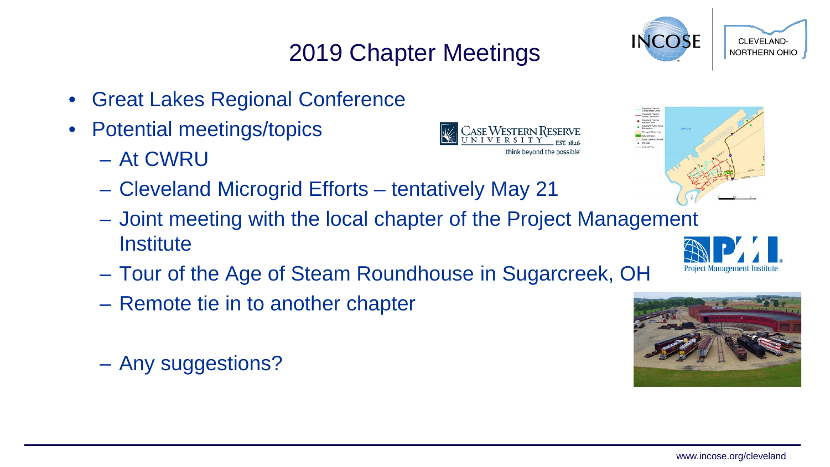# 2019 Chapter Meetings

- Great Lakes Regional Conference
- Potential meetings/topics
	- At CWRU
	- Cleveland Microgrid Efforts tentatively May 21
	- Joint meeting with the local chapter of the Project Management **Institute**
	- Tour of the Age of Steam Roundhouse in Sugarcreek, OH
	- Remote tie in to another chapter
	- Any suggestions?









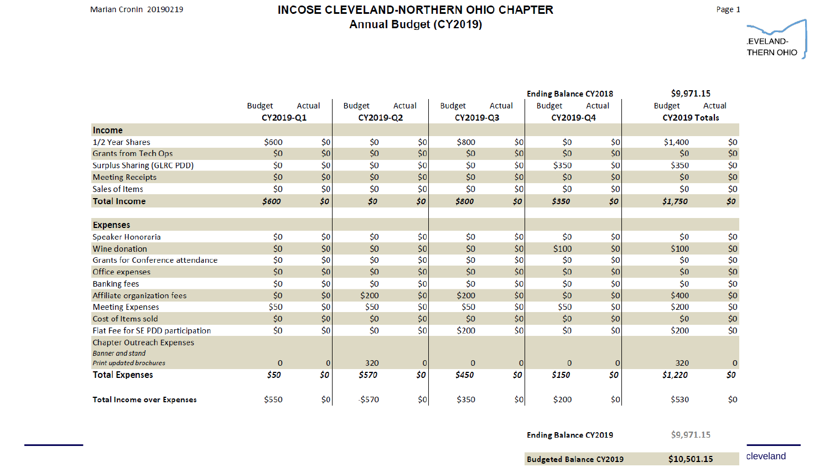#### INCOSE CLEVELAND-NORTHERN OHIO CHAPTER **Annual Budget (CY2019)**

Page 1



|                                                             |               |          |               |          |               |              | <b>Ending Balance CY2018</b> |              | \$9,971.15    |          |
|-------------------------------------------------------------|---------------|----------|---------------|----------|---------------|--------------|------------------------------|--------------|---------------|----------|
|                                                             | <b>Budget</b> | Actual   | <b>Budget</b> | Actual   | <b>Budget</b> | Actual       | <b>Budget</b>                | Actual       | <b>Budget</b> | Actual   |
|                                                             | CY2019-Q1     |          | CY2019-Q2     |          | CY2019-Q3     |              | CY2019-Q4                    |              | CY2019 Totals |          |
| Income                                                      |               |          |               |          |               |              |                              |              |               |          |
| 1/2 Year Shares                                             | \$600         | \$0      | \$0           | \$0      | \$800         | \$0          | \$0                          | \$0          | \$1,400       | \$0      |
| <b>Grants from Tech Ops</b>                                 | \$0           | \$0      | \$0           | \$0      | \$0           | \$0          | \$0                          | \$0          | \$0           | \$0      |
| <b>Surplus Sharing (GLRC PDD)</b>                           | \$0           | \$0      | \$0           | \$0      | \$0           | \$0          | \$350                        | \$0          | \$350         | \$0      |
| <b>Meeting Receipts</b>                                     | \$0           | \$0      | \$0           | \$0      | \$0           | \$0          | \$0                          | \$0\$        | \$0           | \$0      |
| Sales of Items                                              | \$0           | \$0      | \$0           | \$0      | \$0           | \$0          | \$0                          | \$0          | \$0           | \$0      |
| <b>Total Income</b>                                         | \$600         | \$0      | \$0           | \$0\$    | \$800         | \$0\$        | \$350                        | \$0          | \$1,750       | \$0      |
|                                                             |               |          |               |          |               |              |                              |              |               |          |
| <b>Expenses</b>                                             |               |          |               |          |               |              |                              |              |               |          |
| Speaker Honoraria                                           | \$0           | \$0      | \$0           | \$0      | \$0           | \$0          | \$0                          | \$0          | \$0           | \$0      |
| Wine donation                                               | \$0           | \$0      | \$0           | \$0      | \$0           | 50           | \$100                        | \$0          | \$100         | \$0      |
| <b>Grants for Conference attendance</b>                     | \$0           | \$0      | \$0           | \$0      | \$0           | \$0          | \$0                          | \$0          | \$0           | \$0      |
| Office expenses                                             | \$0           | \$0      | \$0           | \$0      | \$0           | 50           | \$0                          | \$0\$        | \$0           | \$0      |
| <b>Banking fees</b>                                         | \$0           | \$0      | \$0           | \$0      | \$0           | \$0          | \$0                          | \$0          | \$0           | \$0      |
| Affiliate organization fees                                 | \$0           | \$0      | \$200         | \$0      | \$200         | \$0]         | \$0                          | \$0          | \$400         | \$0      |
| <b>Meeting Expenses</b>                                     | \$50          | \$0      | \$50          | \$0      | \$50          | \$0          | \$50                         | \$0          | \$200         | \$0      |
| Cost of Items sold                                          | \$0           | \$0      | \$0           | 50       | \$0           | 50           | \$0                          | \$0\$        | \$0           | \$0      |
| Flat Fee for SE PDD participation                           | \$0           | \$0      | \$0           | \$0      | \$200         | \$0          | \$0                          | \$0          | \$200         | \$0      |
| <b>Chapter Outreach Expenses</b><br><b>Banner</b> and stand |               |          |               |          |               |              |                              |              |               |          |
| Print updated brochures                                     | $\mathbf{0}$  | $\bf{0}$ | 320           | $\bf{0}$ | $\bf{0}$      | $\mathbf{0}$ | $\bf{0}$                     | $\mathbf{0}$ | 320           | $\bf{0}$ |
| <b>Total Expenses</b>                                       | \$50          | \$0      | \$570         | \$0      | \$450         | Ś0           | \$150                        | \$0          | \$1,220       | \$0      |
| <b>Total Income over Expenses</b>                           | \$550         | \$0      | $-5570$       | \$0      | \$350         | \$0          | \$200                        | \$0          | \$530         | \$0      |

**Ending Balance CY2019** 

\$9,971.15

 $$10,501.15$  cleveland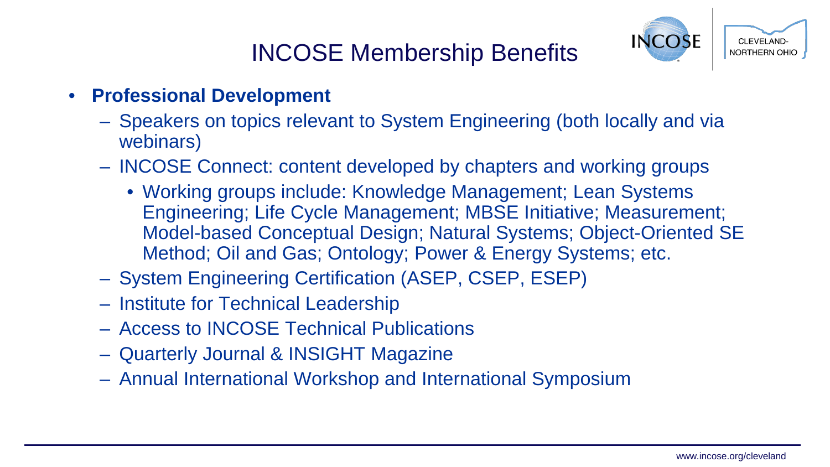#### INCOSE Membership Benefits



- **Professional Development**
	- Speakers on topics relevant to System Engineering (both locally and via webinars)
	- INCOSE Connect: content developed by chapters and working groups
		- Working groups include: Knowledge Management; Lean Systems Engineering; Life Cycle Management; MBSE Initiative; Measurement; Model-based Conceptual Design; Natural Systems; Object-Oriented SE Method; Oil and Gas; Ontology; Power & Energy Systems; etc.
	- System Engineering Certification (ASEP, CSEP, ESEP)
	- Institute for Technical Leadership
	- Access to INCOSE Technical Publications
	- Quarterly Journal & INSIGHT Magazine
	- Annual International Workshop and International Symposium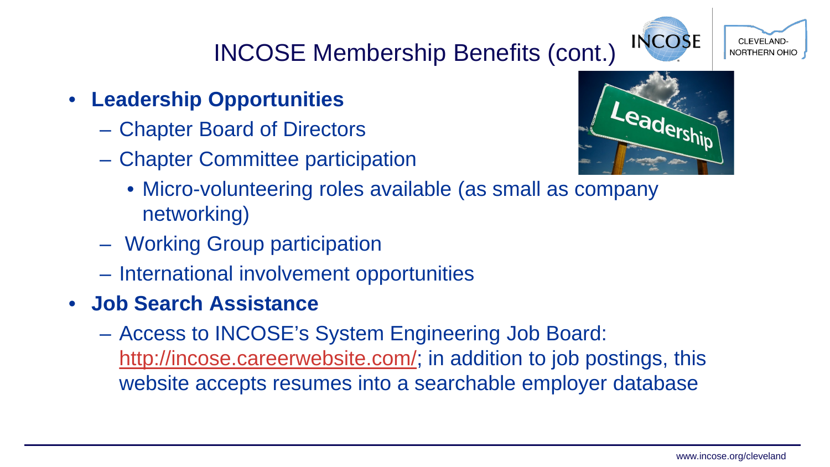# INCOSE Membership Benefits (cont.)

- **Leadership Opportunities**
	- Chapter Board of Directors
	- Chapter Committee participation



**INCOSE** 

**CLEVELAND NORTHERN OHIO** 

- Micro-volunteering roles available (as small as company networking)
- Working Group participation
- International involvement opportunities
- **Job Search Assistance**
	- Access to INCOSE's System Engineering Job Board: <http://incose.careerwebsite.com/>; in addition to job postings, this website accepts resumes into a searchable employer database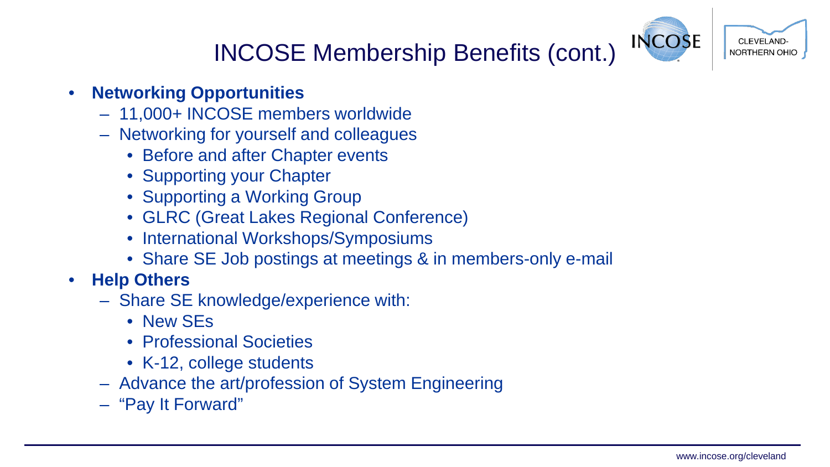

# INCOSE Membership Benefits (cont.)

#### • **Networking Opportunities**

- 11,000+ INCOSE members worldwide
- Networking for yourself and colleagues
	- Before and after Chapter events
	- Supporting your Chapter
	- Supporting a Working Group
	- GLRC (Great Lakes Regional Conference)
	- International Workshops/Symposiums
	- Share SE Job postings at meetings & in members-only e-mail
- **Help Others**
	- Share SE knowledge/experience with:
		- New SEs
		- Professional Societies
		- K-12, college students
	- Advance the art/profession of System Engineering
	- "Pay It Forward"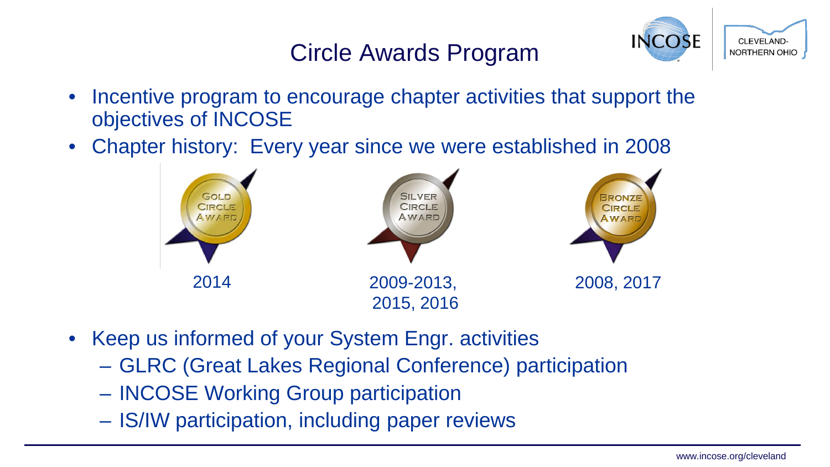#### Circle Awards Program



- Incentive program to encourage chapter activities that support the objectives of INCOSE
- Chapter history: Every year since we were established in 2008



- Keep us informed of your System Engr. activities
	- GLRC (Great Lakes Regional Conference) participation
	- INCOSE Working Group participation
	- IS/IW participation, including paper reviews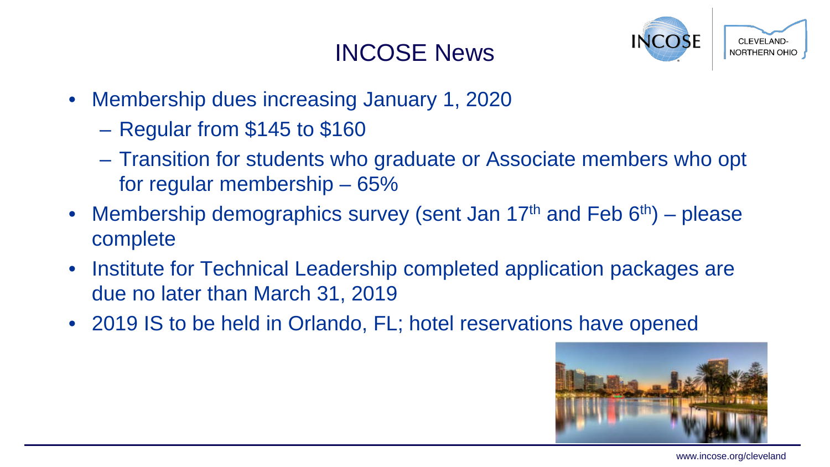#### INCOSE News



- Membership dues increasing January 1, 2020
	- Regular from \$145 to \$160
	- Transition for students who graduate or Associate members who opt for regular membership – 65%
- Membership demographics survey (sent Jan 17<sup>th</sup> and Feb  $6<sup>th</sup>$ ) please complete
- Institute for Technical Leadership completed application packages are due no later than March 31, 2019
- 2019 IS to be held in Orlando, FL; hotel reservations have opened



www.incose.org/cleveland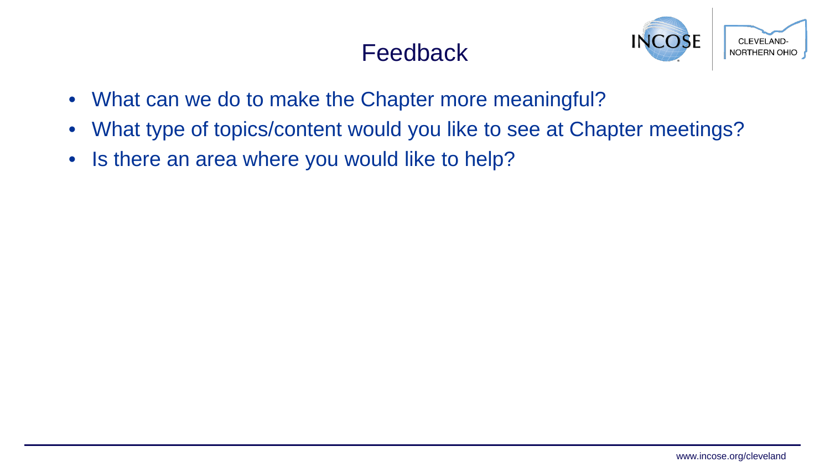#### **Feedback**



- What can we do to make the Chapter more meaningful?
- What type of topics/content would you like to see at Chapter meetings?
- Is there an area where you would like to help?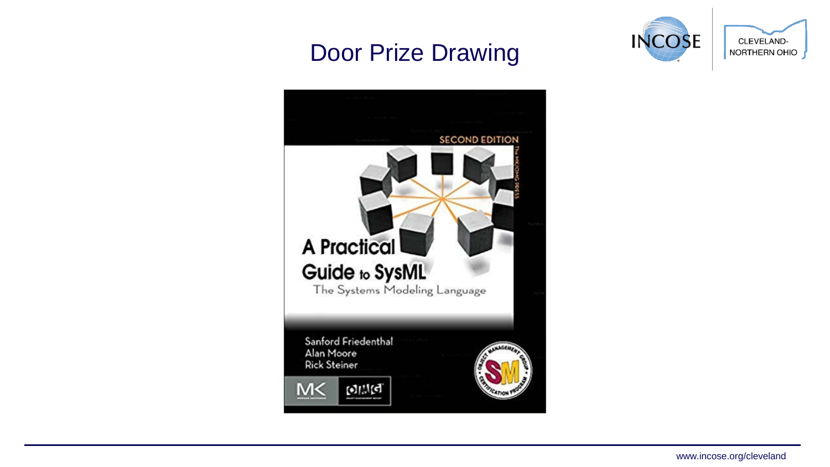#### Door Prize Drawing



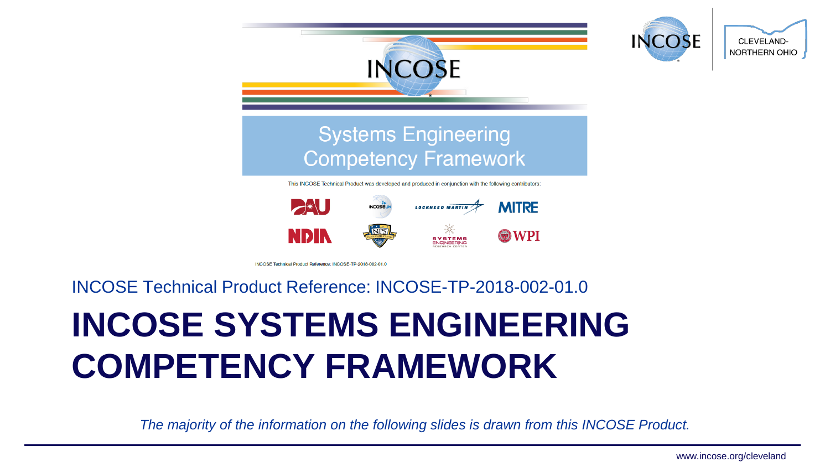

#### INCOSE Technical Product Reference: INCOSE-TP-2018-002-01.0

# **INCOSE SYSTEMS ENGINEERING COMPETENCY FRAMEWORK**

*The majority of the information on the following slides is drawn from this INCOSE Product.*

www.incose.org/cleveland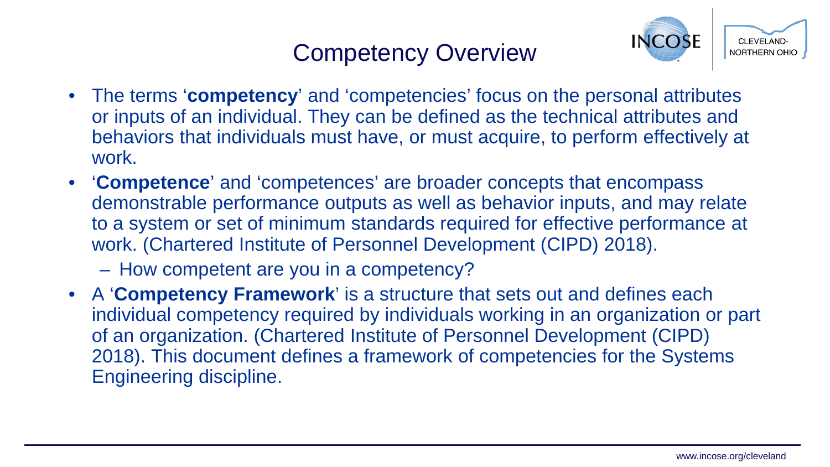#### Competency Overview



- The terms '**competency**' and 'competencies' focus on the personal attributes or inputs of an individual. They can be defined as the technical attributes and behaviors that individuals must have, or must acquire, to perform effectively at work.
- '**Competence**' and 'competences' are broader concepts that encompass demonstrable performance outputs as well as behavior inputs, and may relate to a system or set of minimum standards required for effective performance at work. (Chartered Institute of Personnel Development (CIPD) 2018).

– How competent are you in a competency?

• A '**Competency Framework**' is a structure that sets out and defines each individual competency required by individuals working in an organization or part of an organization. (Chartered Institute of Personnel Development (CIPD) 2018). This document defines a framework of competencies for the Systems Engineering discipline.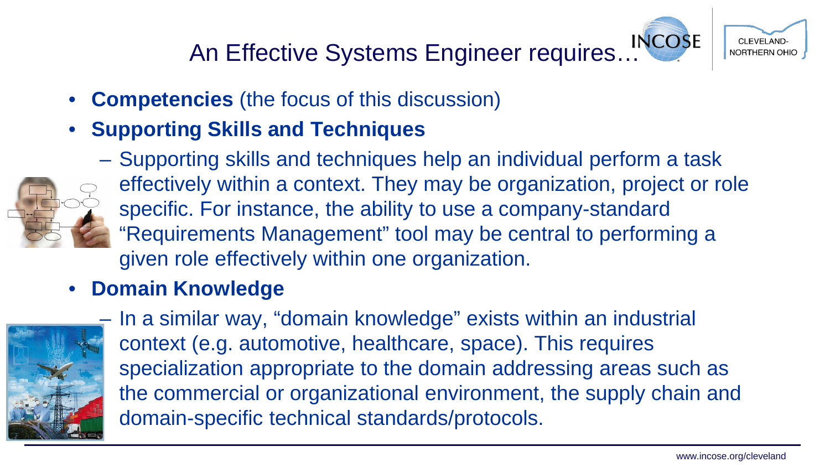# An Effective Systems Engineer requires…



- **Competencies** (the focus of this discussion)
- **Supporting Skills and Techniques**



– Supporting skills and techniques help an individual perform a task effectively within a context. They may be organization, project or role specific. For instance, the ability to use a company-standard "Requirements Management" tool may be central to performing a given role effectively within one organization.

#### • **Domain Knowledge**



– In a similar way, "domain knowledge" exists within an industrial context (e.g. automotive, healthcare, space). This requires specialization appropriate to the domain addressing areas such as the commercial or organizational environment, the supply chain and domain-specific technical standards/protocols.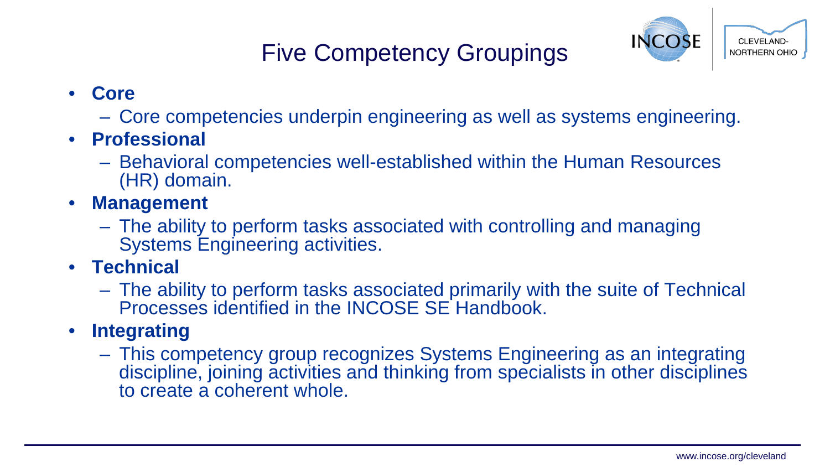# Five Competency Groupings



- **Core**
	- Core competencies underpin engineering as well as systems engineering.
- **Professional**
	- Behavioral competencies well-established within the Human Resources (HR) domain.
- **Management**
	- The ability to perform tasks associated with controlling and managing Systems Engineering activities.
- **Technical**
	- The ability to perform tasks associated primarily with the suite of Technical Processes identified in the INCOSE SE Handbook.
- **Integrating**
	- This competency group recognizes Systems Engineering as an integrating discipline, joining activities and thinking from specialists in other disciplines to create a coherent whole.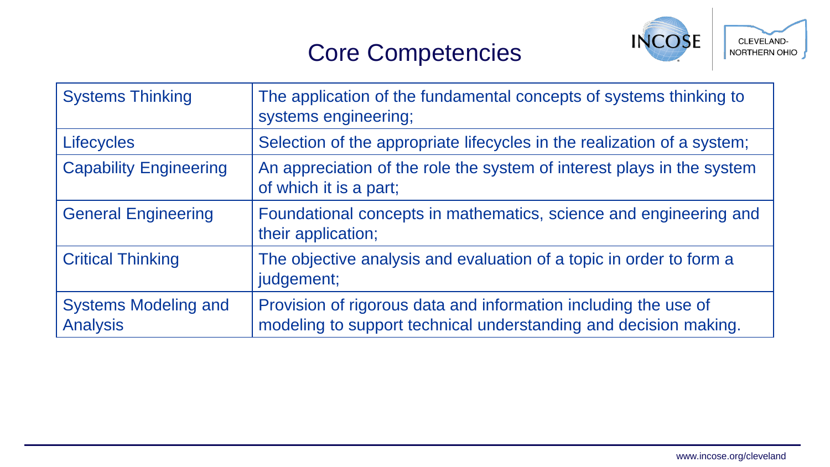#### Core Competencies



| <b>Systems Thinking</b>                        | The application of the fundamental concepts of systems thinking to<br>systems engineering;                                          |
|------------------------------------------------|-------------------------------------------------------------------------------------------------------------------------------------|
| <b>Lifecycles</b>                              | Selection of the appropriate lifecycles in the realization of a system;                                                             |
| <b>Capability Engineering</b>                  | An appreciation of the role the system of interest plays in the system<br>of which it is a part;                                    |
| <b>General Engineering</b>                     | Foundational concepts in mathematics, science and engineering and<br>their application;                                             |
| <b>Critical Thinking</b>                       | The objective analysis and evaluation of a topic in order to form a<br>judgement;                                                   |
| <b>Systems Modeling and</b><br><b>Analysis</b> | Provision of rigorous data and information including the use of<br>modeling to support technical understanding and decision making. |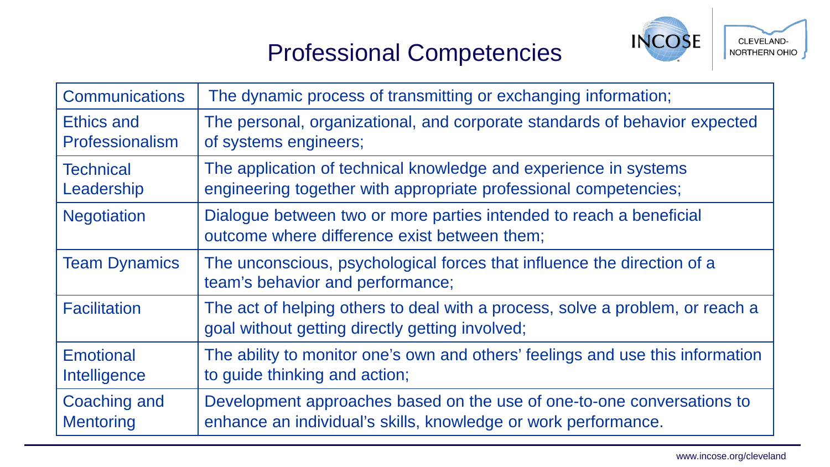# Professional Competencies



| <b>Communications</b> | The dynamic process of transmitting or exchanging information;                                                                   |
|-----------------------|----------------------------------------------------------------------------------------------------------------------------------|
| Ethics and            | The personal, organizational, and corporate standards of behavior expected                                                       |
| Professionalism       | of systems engineers;                                                                                                            |
| <b>Technical</b>      | The application of technical knowledge and experience in systems                                                                 |
| Leadership            | engineering together with appropriate professional competencies;                                                                 |
| <b>Negotiation</b>    | Dialogue between two or more parties intended to reach a beneficial<br>outcome where difference exist between them;              |
| <b>Team Dynamics</b>  | The unconscious, psychological forces that influence the direction of a<br>team's behavior and performance;                      |
| <b>Facilitation</b>   | The act of helping others to deal with a process, solve a problem, or reach a<br>goal without getting directly getting involved; |
| <b>Emotional</b>      | The ability to monitor one's own and others' feelings and use this information                                                   |
| Intelligence          | to guide thinking and action;                                                                                                    |
| Coaching and          | Development approaches based on the use of one-to-one conversations to                                                           |
| <b>Mentoring</b>      | enhance an individual's skills, knowledge or work performance.                                                                   |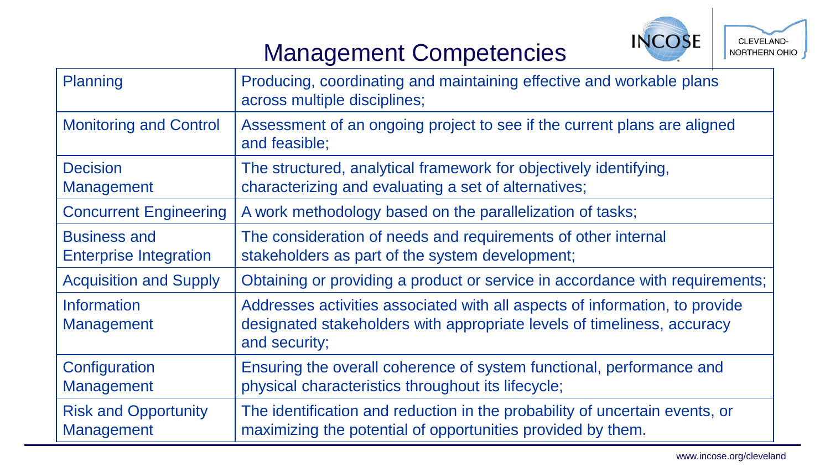

# Management Competencies

| Planning                                             | Producing, coordinating and maintaining effective and workable plans<br>across multiple disciplines;                                                                    |
|------------------------------------------------------|-------------------------------------------------------------------------------------------------------------------------------------------------------------------------|
| <b>Monitoring and Control</b>                        | Assessment of an ongoing project to see if the current plans are aligned<br>and feasible;                                                                               |
| <b>Decision</b><br><b>Management</b>                 | The structured, analytical framework for objectively identifying,<br>characterizing and evaluating a set of alternatives;                                               |
| <b>Concurrent Engineering</b>                        | A work methodology based on the parallelization of tasks;                                                                                                               |
| <b>Business and</b><br><b>Enterprise Integration</b> | The consideration of needs and requirements of other internal<br>stakeholders as part of the system development;                                                        |
| <b>Acquisition and Supply</b>                        | Obtaining or providing a product or service in accordance with requirements;                                                                                            |
| <b>Information</b><br><b>Management</b>              | Addresses activities associated with all aspects of information, to provide<br>designated stakeholders with appropriate levels of timeliness, accuracy<br>and security; |
| Configuration<br><b>Management</b>                   | Ensuring the overall coherence of system functional, performance and<br>physical characteristics throughout its lifecycle;                                              |
| <b>Risk and Opportunity</b><br><b>Management</b>     | The identification and reduction in the probability of uncertain events, or<br>maximizing the potential of opportunities provided by them.                              |

www.incose.org/cleveland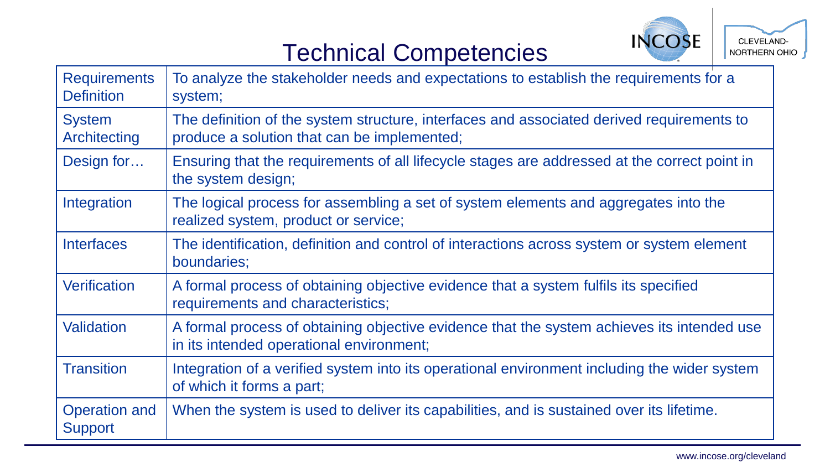

# Technical Competencies

| <b>Requirements</b><br><b>Definition</b> | To analyze the stakeholder needs and expectations to establish the requirements for a<br>system;                                         |
|------------------------------------------|------------------------------------------------------------------------------------------------------------------------------------------|
| <b>System</b><br>Architecting            | The definition of the system structure, interfaces and associated derived requirements to<br>produce a solution that can be implemented; |
| Design for                               | Ensuring that the requirements of all lifecycle stages are addressed at the correct point in<br>the system design;                       |
| Integration                              | The logical process for assembling a set of system elements and aggregates into the<br>realized system, product or service;              |
| <b>Interfaces</b>                        | The identification, definition and control of interactions across system or system element<br>boundaries;                                |
| <b>Verification</b>                      | A formal process of obtaining objective evidence that a system fulfils its specified<br>requirements and characteristics;                |
| Validation                               | A formal process of obtaining objective evidence that the system achieves its intended use<br>in its intended operational environment;   |
| <b>Transition</b>                        | Integration of a verified system into its operational environment including the wider system<br>of which it forms a part;                |
| <b>Operation and</b><br><b>Support</b>   | When the system is used to deliver its capabilities, and is sustained over its lifetime.                                                 |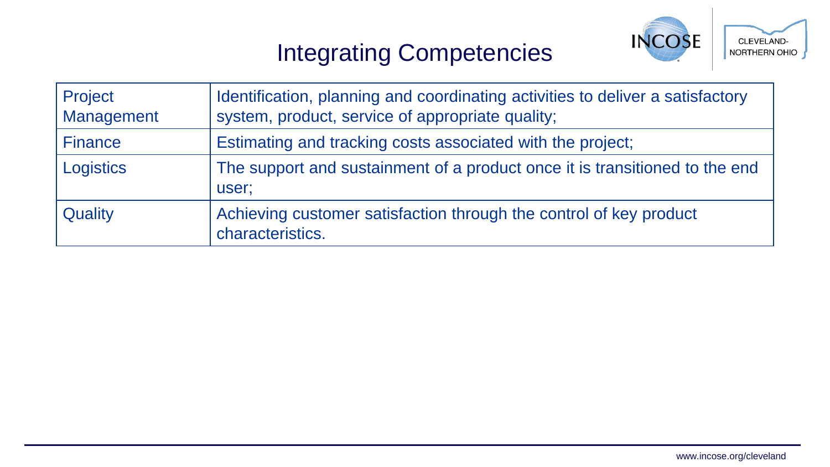# Integrating Competencies



| Project<br>Management | Identification, planning and coordinating activities to deliver a satisfactory<br>system, product, service of appropriate quality; |
|-----------------------|------------------------------------------------------------------------------------------------------------------------------------|
| <b>Finance</b>        | Estimating and tracking costs associated with the project;                                                                         |
| Logistics             | The support and sustainment of a product once it is transitioned to the end<br>user;                                               |
| Quality               | Achieving customer satisfaction through the control of key product<br>characteristics.                                             |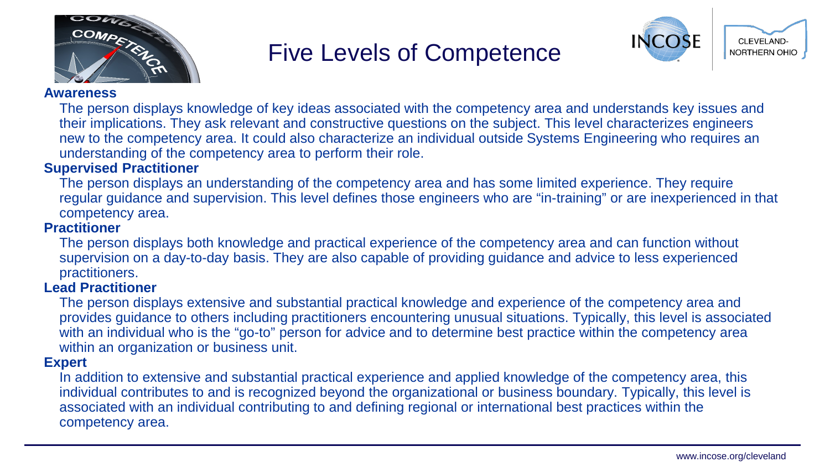

#### Five Levels of Competence



#### **Awareness**

The person displays knowledge of key ideas associated with the competency area and understands key issues and their implications. They ask relevant and constructive questions on the subject. This level characterizes engineers new to the competency area. It could also characterize an individual outside Systems Engineering who requires an understanding of the competency area to perform their role.

#### **Supervised Practitioner**

The person displays an understanding of the competency area and has some limited experience. They require regular guidance and supervision. This level defines those engineers who are "in-training" or are inexperienced in that competency area.

#### **Practitioner**

The person displays both knowledge and practical experience of the competency area and can function without supervision on a day-to-day basis. They are also capable of providing guidance and advice to less experienced practitioners.

#### **Lead Practitioner**

The person displays extensive and substantial practical knowledge and experience of the competency area and provides guidance to others including practitioners encountering unusual situations. Typically, this level is associated with an individual who is the "go-to" person for advice and to determine best practice within the competency area within an organization or business unit.

#### **Expert**

In addition to extensive and substantial practical experience and applied knowledge of the competency area, this individual contributes to and is recognized beyond the organizational or business boundary. Typically, this level is associated with an individual contributing to and defining regional or international best practices within the competency area.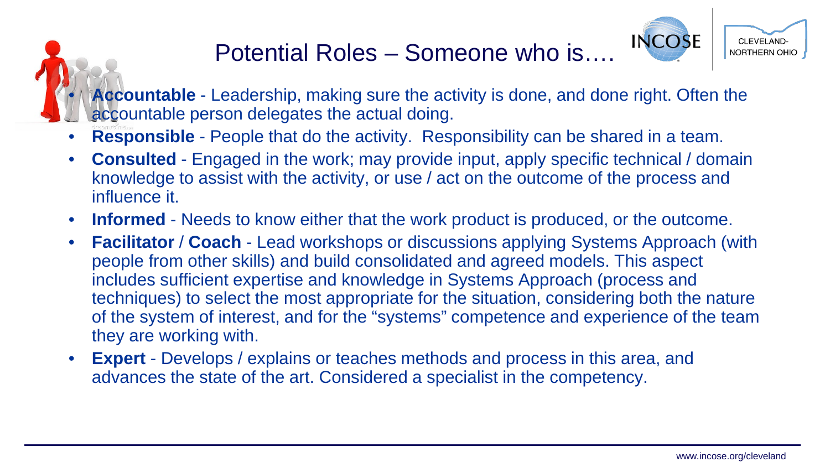# Potential Roles – Someone who is….



• **Accountable** - Leadership, making sure the activity is done, and done right. Often the accountable person delegates the actual doing.

- **Responsible** People that do the activity. Responsibility can be shared in a team.
- **Consulted** Engaged in the work; may provide input, apply specific technical / domain knowledge to assist with the activity, or use / act on the outcome of the process and influence it.
- **Informed** Needs to know either that the work product is produced, or the outcome.
- **Facilitator** / **Coach** Lead workshops or discussions applying Systems Approach (with people from other skills) and build consolidated and agreed models. This aspect includes sufficient expertise and knowledge in Systems Approach (process and techniques) to select the most appropriate for the situation, considering both the nature of the system of interest, and for the "systems" competence and experience of the team they are working with.
- **Expert** Develops / explains or teaches methods and process in this area, and advances the state of the art. Considered a specialist in the competency.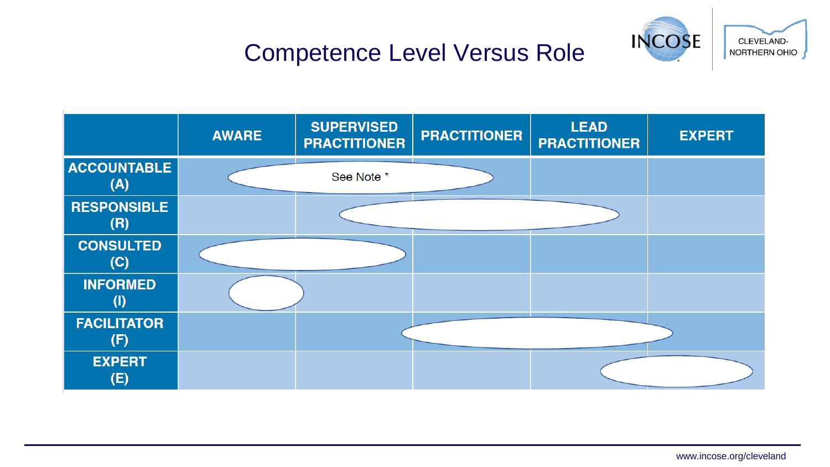

# Competence Level Versus Role

|                           | <b>AWARE</b> | <b>SUPERVISED</b><br><b>PRACTITIONER</b> | <b>PRACTITIONER</b> | <b>LEAD</b><br><b>PRACTITIONER</b> | <b>EXPERT</b> |
|---------------------------|--------------|------------------------------------------|---------------------|------------------------------------|---------------|
| <b>ACCOUNTABLE</b><br>(A) |              | See Note *                               |                     |                                    |               |
| <b>RESPONSIBLE</b><br>(R) |              |                                          |                     |                                    |               |
| <b>CONSULTED</b><br>(C)   |              |                                          |                     |                                    |               |
| <b>INFORMED</b>           |              |                                          |                     |                                    |               |
| <b>FACILITATOR</b><br>(F) |              |                                          |                     |                                    |               |
| <b>EXPERT</b><br>(E)      |              |                                          |                     |                                    |               |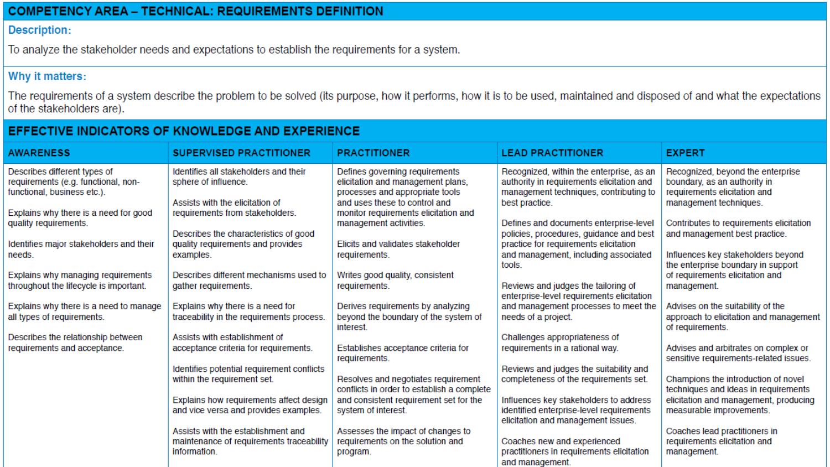#### **COMPETENCY AREA - TECHNICAL: REQUIREMENTS DEFINITION**

#### **Description:**

To analyze the stakeholder needs and expectations to establish the requirements for a system.

#### Why it matters:

The requirements of a system describe the problem to be solved (its purpose, how it performs, how it is to be used, maintained and disposed of and what the expectations of the stakeholders are).

#### EFFECTIVE INDICATORS OF KNOWLEDGE AND EXPERIENCE

| <b>AWARENESS</b>                                                                                   | <b>SUPERVISED PRACTITIONER</b>                                                                 | <b>PRACTITIONER</b>                                                                                    | <b>LEAD PRACTITIONER</b>                                                                                                        | <b>EXPERT</b>                                                                                     |
|----------------------------------------------------------------------------------------------------|------------------------------------------------------------------------------------------------|--------------------------------------------------------------------------------------------------------|---------------------------------------------------------------------------------------------------------------------------------|---------------------------------------------------------------------------------------------------|
| Describes different types of<br>requirements (e.g. functional, non-<br>functional, business etc.). | Identifies all stakeholders and their<br>sphere of influence.                                  | Defines governing requirements<br>elicitation and management plans,<br>processes and appropriate tools | Recognized, within the enterprise, as an<br>authority in requirements elicitation and<br>management techniques, contributing to | Recognized, beyond the enterprise<br>boundary, as an authority in<br>requirements elicitation and |
| Explains why there is a need for good                                                              | Assists with the elicitation of<br>requirements from stakeholders.                             | and uses these to control and<br>monitor requirements elicitation and<br>management activities.        | best practice.<br>Defines and documents enterprise-level                                                                        | management techniques.<br>Contributes to requirements elicitation                                 |
| quality requirements.<br>Identifies major stakeholders and their                                   | Describes the characteristics of good<br>quality requirements and provides                     | Elicits and validates stakeholder                                                                      | policies, procedures, guidance and best<br>practice for requirements elicitation                                                | and management best practice.                                                                     |
| needs.                                                                                             | examples.                                                                                      | requirements.                                                                                          | and management, including associated<br>tools.                                                                                  | Influences key stakeholders beyond<br>the enterprise boundary in support                          |
| Explains why managing requirements<br>throughout the lifecycle is important.                       | Describes different mechanisms used to<br>gather requirements.                                 | Writes good quality, consistent<br>requirements.                                                       | Reviews and judges the tailoring of                                                                                             | of requirements elicitation and<br>management.                                                    |
| Explains why there is a need to manage<br>all types of requirements.                               | Explains why there is a need for<br>traceability in the requirements process.                  | Derives requirements by analyzing<br>beyond the boundary of the system of                              | enterprise-level requirements elicitation<br>and management processes to meet the<br>needs of a project.                        | Advises on the suitability of the<br>approach to elicitation and management                       |
| Describes the relationship between                                                                 | Assists with establishment of                                                                  | interest.                                                                                              | Challenges appropriateness of                                                                                                   | of requirements.                                                                                  |
| requirements and acceptance.                                                                       | acceptance criteria for requirements.                                                          | Establishes acceptance criteria for<br>requirements.                                                   | requirements in a rational way.                                                                                                 | Advises and arbitrates on complex or<br>sensitive requirements-related issues.                    |
|                                                                                                    | Identifies potential requirement conflicts<br>within the requirement set.                      | Resolves and negotiates requirement<br>conflicts in order to establish a complete                      | Reviews and judges the suitability and<br>completeness of the requirements set.                                                 | Champions the introduction of novel<br>techniques and ideas in requirements                       |
|                                                                                                    | Explains how requirements affect design<br>and vice versa and provides examples.               | and consistent requirement set for the<br>system of interest.                                          | Influences key stakeholders to address<br>identified enterprise-level requirements<br>elicitation and management issues.        | elicitation and management, producing<br>measurable improvements.                                 |
|                                                                                                    | Assists with the establishment and<br>maintenance of requirements traceability<br>information. | Assesses the impact of changes to<br>requirements on the solution and<br>program.                      | Coaches new and experienced<br>practitioners in requirements elicitation<br>and management.                                     | Coaches lead practitioners in<br>requirements elicitation and<br>management.                      |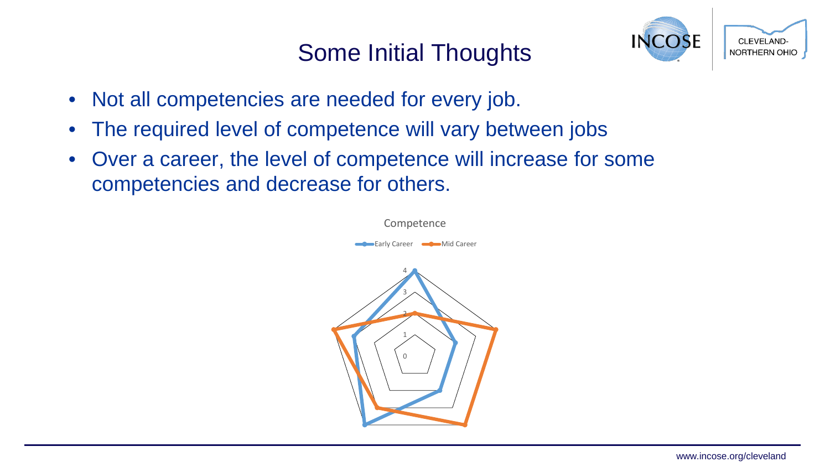#### Some Initial Thoughts



- Not all competencies are needed for every job.
- The required level of competence will vary between jobs
- Over a career, the level of competence will increase for some competencies and decrease for others.

0 1 2 3 4 Competence v Career **Career** Mid Career